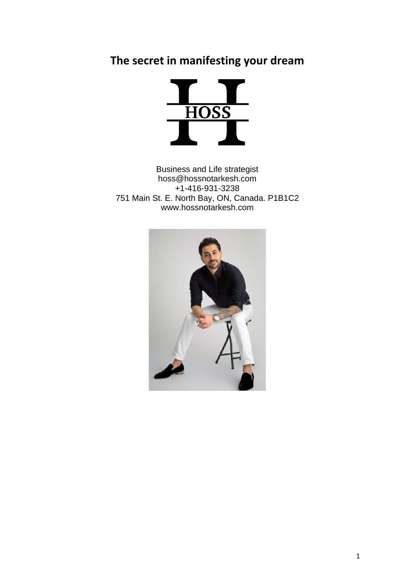## **The secret in manifesting your dream**



Business and Life strategist hoss@hossnotarkesh.com +1-416-931-3238 751 Main St. E. North Bay, ON, Canada. P1B1C2 www.hossnotarkesh.com

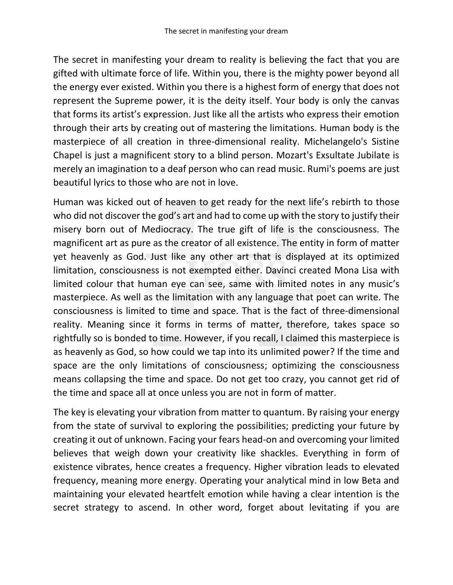The secret in manifesting your dream to reality is believing the fact that you are gifted with ultimate force of life. Within you, there is the mighty power beyond all the energy ever existed. Within you there is a highest form of energy that does not represent the Supreme power, it is the deity itself. Your body is only the canvas that forms its artist's expression. Just like all the artists who express their emotion through their arts by creating out of mastering the limitations. Human body is the masterpiece of all creation in three-dimensional reality. Michelangelo's Sistine Chapel is just a magnificent story to a blind person. Mozart's Exsultate Jubilate is merely an imagination to a deaf person who can read music. Rumi's poems are just beautiful lyrics to those who are not in love.

Human was kicked out of heaven to get ready for the next life's rebirth to those who did not discover the god's art and had to come up with the story to justify their misery born out of Mediocracy. The true gift of life is the consciousness. The magnificent art as pure as the creator of all existence. The entity in form of matter yet heavenly as God. Just like any other art that is displayed at its optimized limitation, consciousness is not exempted either. Davinci created Mona Lisa with limited colour that human eye can see, same with limited notes in any music's masterpiece. As well as the limitation with any language that poet can write. The consciousness is limited to time and space. That is the fact of three-dimensional reality. Meaning since it forms in terms of matter, therefore, takes space so rightfully so is bonded to time. However, if you recall, I claimed this masterpiece is as heavenly as God, so how could we tap into its unlimited power? If the time and space are the only limitations of consciousness; optimizing the consciousness means collapsing the time and space. Do not get too crazy, you cannot get rid of the time and space all at once unless you are not in form of matter.

The key is elevating your vibration from matter to quantum. By raising your energy from the state of survival to exploring the possibilities; predicting your future by creating it out of unknown. Facing your fears head-on and overcoming your limited believes that weigh down your creativity like shackles. Everything in form of existence vibrates, hence creates a frequency. Higher vibration leads to elevated frequency, meaning more energy. Operating your analytical mind in low Beta and maintaining your elevated heartfelt emotion while having a clear intention is the secret strategy to ascend. In other word, forget about levitating if you are